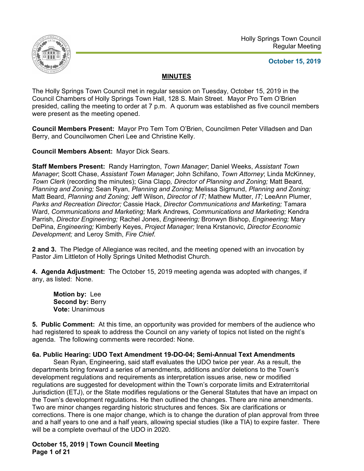

# **October 15, 2019**

# **MINUTES**

The Holly Springs Town Council met in regular session on Tuesday, October 15, 2019 in the Council Chambers of Holly Springs Town Hall, 128 S. Main Street. Mayor Pro Tem O'Brien presided, calling the meeting to order at 7 p.m. A quorum was established as five council members were present as the meeting opened.

**Council Members Present:** Mayor Pro Tem Tom O'Brien, Councilmen Peter Villadsen and Dan Berry, and Councilwomen Cheri Lee and Christine Kelly.

**Council Members Absent:** Mayor Dick Sears.

**Staff Members Present:** Randy Harrington, *Town Manager*; Daniel Weeks, *Assistant Town Manager*; Scott Chase, *Assistant Town Manager*; John Schifano, *Town Attorney*; Linda McKinney, *Town Clerk* (recording the minutes); Gina Clapp*, Director of Planning and Zoning;* Matt Beard*, Planning and Zoning;* Sean Ryan, *Planning and Zoning;* Melissa Sigmund, *Planning and Zoning;* Matt Beard, *Planning and Zoning;* Jeff Wilson, *Director of IT;* Mathew Mutter, *IT;* LeeAnn Plumer, *Parks and Recreation Director;* Cassie Hack, *Director Communications and Marketing;* Tamara Ward, *Communications and Marketing;* Mark Andrews, *Communications and Marketing;* Kendra Parrish, *Director Engineering;* Rachel Jones, *Engineering;* Bronwyn Bishop, *Engineering;* Mary DePina, *Engineering;* Kimberly Keyes, *Project Manager;* Irena Krstanovic, *Director Economic Development;* and Leroy Smith, *Fire Chief.*

**2 and 3.** The Pledge of Allegiance was recited, and the meeting opened with an invocation by Pastor Jim Littleton of Holly Springs United Methodist Church.

**4. Agenda Adjustment:** The October 15, 2019 meeting agenda was adopted with changes, if any, as listed: None.

**Motion by:** Lee Second by: Berry **Vote:** Unanimous

**5. Public Comment:** At this time, an opportunity was provided for members of the audience who had registered to speak to address the Council on any variety of topics not listed on the night's agenda. The following comments were recorded: None.

## **6a. Public Hearing: UDO Text Amendment 19-DO-04; Semi-Annual Text Amendments**

Sean Ryan, Engineering, said staff evaluates the UDO twice per year. As a result, the departments bring forward a series of amendments, additions and/or deletions to the Town's development regulations and requirements as interpretation issues arise, new or modified regulations are suggested for development within the Town's corporate limits and Extraterritorial Jurisdiction (ETJ), or the State modifies regulations or the General Statutes that have an impact on the Town's development regulations. He then outlined the changes. There are nine amendments. Two are minor changes regarding historic structures and fences. Six are clarifications or corrections. There is one major change, which is to change the duration of plan approval from three and a half years to one and a half years, allowing special studies (like a TIA) to expire faster. There will be a complete overhaul of the UDO in 2020.

**October 15, 2019 | Town Council Meeting Page 1 of 21**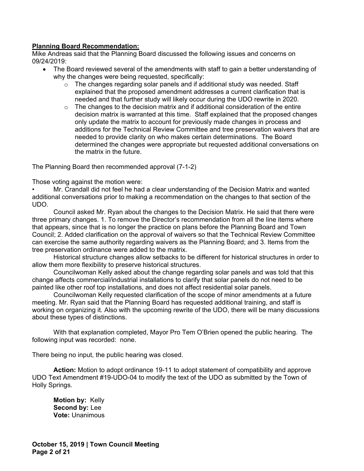## **Planning Board Recommendation:**

Mike Andreas said that the Planning Board discussed the following issues and concerns on 09/24/2019:

- The Board reviewed several of the amendments with staff to gain a better understanding of why the changes were being requested, specifically:
	- $\circ$  The changes regarding solar panels and if additional study was needed. Staff explained that the proposed amendment addresses a current clarification that is needed and that further study will likely occur during the UDO rewrite in 2020.
	- $\circ$  The changes to the decision matrix and if additional consideration of the entire decision matrix is warranted at this time. Staff explained that the proposed changes only update the matrix to account for previously made changes in process and additions for the Technical Review Committee and tree preservation waivers that are needed to provide clarity on who makes certain determinations. The Board determined the changes were appropriate but requested additional conversations on the matrix in the future.

The Planning Board then recommended approval (7-1-2)

Those voting against the motion were:

• Mr. Crandall did not feel he had a clear understanding of the Decision Matrix and wanted additional conversations prior to making a recommendation on the changes to that section of the UDO.

Council asked Mr. Ryan about the changes to the Decision Matrix. He said that there were three primary changes. 1. To remove the Director's recommendation from all the line items where that appears, since that is no longer the practice on plans before the Planning Board and Town Council; 2. Added clarification on the approval of waivers so that the Technical Review Committee can exercise the same authority regarding waivers as the Planning Board; and 3. Items from the tree preservation ordinance were added to the matrix.

Historical structure changes allow setbacks to be different for historical structures in order to allow them more flexibility to preserve historical structures.

Councilwoman Kelly asked about the change regarding solar panels and was told that this change affects commercial/industrial installations to clarify that solar panels do not need to be painted like other roof top installations, and does not affect residential solar panels.

Councilwoman Kelly requested clarification of the scope of minor amendments at a future meeting. Mr. Ryan said that the Planning Board has requested additional training, and staff is working on organizing it. Also with the upcoming rewrite of the UDO, there will be many discussions about these types of distinctions.

With that explanation completed, Mayor Pro Tem O'Brien opened the public hearing. The following input was recorded: none.

There being no input, the public hearing was closed.

**Action:** Motion to adopt ordinance 19-11 to adopt statement of compatibility and approve UDO Text Amendment #19-UDO-04 to modify the text of the UDO as submitted by the Town of Holly Springs.

 **Motion by:** Kelly **Second by:** Lee **Vote:** Unanimous

**October 15, 2019 | Town Council Meeting Page 2 of 21**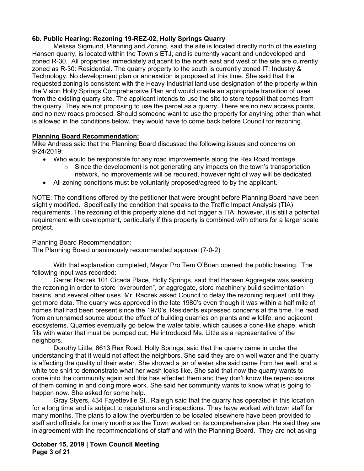# **6b. Public Hearing: Rezoning 19-REZ-02, Holly Springs Quarry**

Melissa Sigmund, Planning and Zoning, said the site is located directly north of the existing Hansen quarry, is located within the Town's ETJ, and is currently vacant and undeveloped and zoned R-30. All properties immediately adjacent to the north east and west of the site are currently zoned as R-30: Residential. The quarry property to the south is currently zoned IT: Industry & Technology. No development plan or annexation is proposed at this time. She said that the requested zoning is consistent with the Heavy Industrial land use designation of the property within the Vision Holly Springs Comprehensive Plan and would create an appropriate transition of uses from the existing quarry site. The applicant intends to use the site to store topsoil that comes from the quarry. They are not proposing to use the parcel as a quarry. There are no new access points, and no new roads proposed. Should someone want to use the property for anything other than what is allowed in the conditions below, they would have to come back before Council for rezoning.

## **Planning Board Recommendation:**

Mike Andreas said that the Planning Board discussed the following issues and concerns on 9/24/2019:

- Who would be responsible for any road improvements along the Rex Road frontage.
	- $\circ$  Since the development is not generating any impacts on the town's transportation
	- network, no improvements will be required, however right of way will be dedicated.
- All zoning conditions must be voluntarily proposed/agreed to by the applicant.

NOTE: The conditions offered by the petitioner that were brought before Planning Board have been slightly modified. Specifically the condition that speaks to the Traffic Impact Analysis (TIA) requirements. The rezoning of this property alone did not trigger a TIA; however, it is still a potential requirement with development, particularly if this property is combined with others for a larger scale project.

Planning Board Recommendation:

The Planning Board unanimously recommended approval (7-0-2)

With that explanation completed, Mayor Pro Tem O'Brien opened the public hearing. The following input was recorded:

Garret Raczek 101 Cicada Place, Holly Springs, said that Hansen Aggregate was seeking the rezoning in order to store "overburden", or aggregate, store machinery build sedimentation basins, and several other uses. Mr. Raczek asked Council to delay the rezoning request until they get more data. The quarry was approved in the late 1980's even though it was within a half mile of homes that had been present since the 1970's. Residents expressed concerns at the time. He read from an unnamed source about the effect of building quarries on plants and wildlife, and adjacent ecosystems. Quarries eventually go below the water table, which causes a cone-like shape, which fills with water that must be pumped out. He introduced Ms. Little as a representative of the neighbors.

Dorothy Little, 6613 Rex Road, Holly Springs, said that the quarry came in under the understanding that it would not affect the neighbors. She said they are on well water and the quarry is affecting the quality of their water. She showed a jar of water she said came from her well, and a white tee shirt to demonstrate what her wash looks like. She said that now the quarry wants to come into the community again and this has affected them and they don't know the repercussions of them coming in and doing more work. She said her community wants to know what is going to happen now. She asked for some help.

Gray Styers, 434 Fayetteville St., Raleigh said that the quarry has operated in this location for a long time and is subject to regulations and inspections. They have worked with town staff for many months. The plans to allow the overburden to be located elsewhere have been provided to staff and officials for many months as the Town worked on its comprehensive plan. He said they are in agreement with the recommendations of staff and with the Planning Board. They are not asking

**October 15, 2019 | Town Council Meeting Page 3 of 21**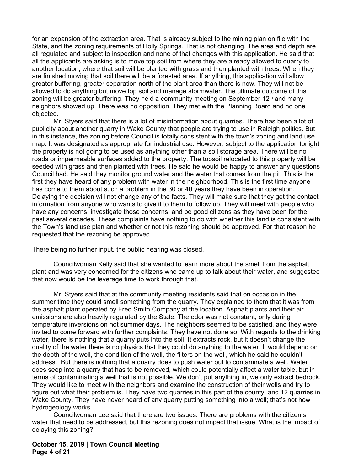for an expansion of the extraction area. That is already subject to the mining plan on file with the State, and the zoning requirements of Holly Springs. That is not changing. The area and depth are all regulated and subject to inspection and none of that changes with this application. He said that all the applicants are asking is to move top soil from where they are already allowed to quarry to another location, where that soil will be planted with grass and then planted with trees. When they are finished moving that soil there will be a forested area. If anything, this application will allow greater buffering, greater separation north of the plant area than there is now. They will not be allowed to do anything but move top soil and manage stormwater. The ultimate outcome of this zoning will be greater buffering. They held a community meeting on September  $12<sup>th</sup>$  and many neighbors showed up. There was no opposition. They met with the Planning Board and no one objected.

Mr. Styers said that there is a lot of misinformation about quarries. There has been a lot of publicity about another quarry in Wake County that people are trying to use in Raleigh politics. But in this instance, the zoning before Council is totally consistent with the town's zoning and land use map. It was designated as appropriate for industrial use. However, subject to the application tonight the property is not going to be used as anything other than a soil storage area. There will be no roads or impermeable surfaces added to the property. The topsoil relocated to this property will be seeded with grass and then planted with trees. He said he would be happy to answer any questions Council had. He said they monitor ground water and the water that comes from the pit. This is the first they have heard of any problem with water in the neighborhood. This is the first time anyone has come to them about such a problem in the 30 or 40 years they have been in operation. Delaying the decision will not change any of the facts. They will make sure that they get the contact information from anyone who wants to give it to them to follow up. They will meet with people who have any concerns, investigate those concerns, and be good citizens as they have been for the past several decades. These complaints have nothing to do with whether this land is consistent with the Town's land use plan and whether or not this rezoning should be approved. For that reason he requested that the rezoning be approved.

There being no further input, the public hearing was closed.

 Councilwoman Kelly said that she wanted to learn more about the smell from the asphalt plant and was very concerned for the citizens who came up to talk about their water, and suggested that now would be the leverage time to work through that.

 Mr. Styers said that at the community meeting residents said that on occasion in the summer time they could smell something from the quarry. They explained to them that it was from the asphalt plant operated by Fred Smith Company at the location. Asphalt plants and their air emissions are also heavily regulated by the State. The odor was not constant, only during temperature inversions on hot summer days. The neighbors seemed to be satisfied, and they were invited to come forward with further complaints. They have not done so. With regards to the drinking water, there is nothing that a quarry puts into the soil. It extracts rock, but it doesn't change the quality of the water there is no physics that they could do anything to the water. It would depend on the depth of the well, the condition of the well, the filters on the well, which he said he couldn't address. But there is nothing that a quarry does to push water out to contaminate a well. Water does seep into a quarry that has to be removed, which could potentially affect a water table, but in terms of contaminating a well that is not possible. We don't put anything in, we only extract bedrock. They would like to meet with the neighbors and examine the construction of their wells and try to figure out what their problem is. They have two quarries in this part of the county, and 12 quarries in Wake County. They have never heard of any quarry putting something into a well; that's not how hydrogeology works.

 Councilwoman Lee said that there are two issues. There are problems with the citizen's water that need to be addressed, but this rezoning does not impact that issue. What is the impact of delaying this zoning?

#### **October 15, 2019 | Town Council Meeting Page 4 of 21**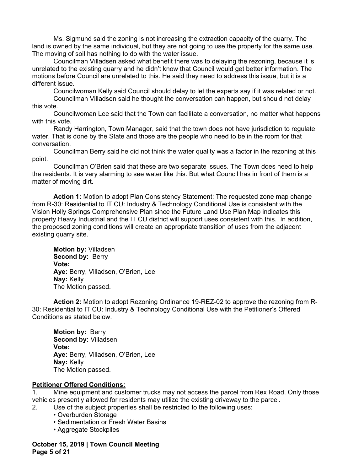Ms. Sigmund said the zoning is not increasing the extraction capacity of the quarry. The land is owned by the same individual, but they are not going to use the property for the same use. The moving of soil has nothing to do with the water issue.

 Councilman Villadsen asked what benefit there was to delaying the rezoning, because it is unrelated to the existing quarry and he didn't know that Council would get better information. The motions before Council are unrelated to this. He said they need to address this issue, but it is a different issue.

 Councilwoman Kelly said Council should delay to let the experts say if it was related or not. Councilman Villadsen said he thought the conversation can happen, but should not delay this vote.

 Councilwoman Lee said that the Town can facilitate a conversation, no matter what happens with this vote.

Randy Harrington, Town Manager, said that the town does not have jurisdiction to regulate water. That is done by the State and those are the people who need to be in the room for that conversation.

Councilman Berry said he did not think the water quality was a factor in the rezoning at this point.

Councilman O'Brien said that these are two separate issues. The Town does need to help the residents. It is very alarming to see water like this. But what Council has in front of them is a matter of moving dirt.

**Action 1:** Motion to adopt Plan Consistency Statement: The requested zone map change from R-30: Residential to IT CU: Industry & Technology Conditional Use is consistent with the Vision Holly Springs Comprehensive Plan since the Future Land Use Plan Map indicates this property Heavy Industrial and the IT CU district will support uses consistent with this. In addition, the proposed zoning conditions will create an appropriate transition of uses from the adjacent existing quarry site.

 **Motion by:** Villadsen Second by: Berry **Vote: Aye:** Berry, Villadsen, O'Brien, Lee **Nay:** Kelly The Motion passed.

**Action 2:** Motion to adopt Rezoning Ordinance 19-REZ-02 to approve the rezoning from R-30: Residential to IT CU: Industry & Technology Conditional Use with the Petitioner's Offered Conditions as stated below.

 **Motion by:** Berry **Second by:** Villadsen **Vote: Aye:** Berry, Villadsen, O'Brien, Lee **Nay:** Kelly The Motion passed.

## **Petitioner Offered Conditions:**

1. Mine equipment and customer trucks may not access the parcel from Rex Road. Only those vehicles presently allowed for residents may utilize the existing driveway to the parcel.

2. Use of the subject properties shall be restricted to the following uses:

- Overburden Storage
- Sedimentation or Fresh Water Basins
- Aggregate Stockpiles

**October 15, 2019 | Town Council Meeting Page 5 of 21**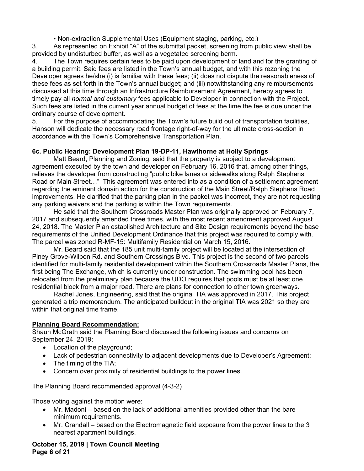• Non-extraction Supplemental Uses (Equipment staging, parking, etc.)

3. As represented on Exhibit "A" of the submittal packet, screening from public view shall be provided by undisturbed buffer, as well as a vegetated screening berm.

4. The Town requires certain fees to be paid upon development of land and for the granting of a building permit. Said fees are listed in the Town's annual budget, and with this rezoning the Developer agrees he/she (i) is familiar with these fees; (ii) does not dispute the reasonableness of these fees as set forth in the Town's annual budget; and (iii) notwithstanding any reimbursements discussed at this time through an Infrastructure Reimbursement Agreement, hereby agrees to timely pay all *normal and customary* fees applicable to Developer in connection with the Project. Such fees are listed in the current year annual budget of fees at the time the fee is due under the ordinary course of development.

5. For the purpose of accommodating the Town's future build out of transportation facilities, Hanson will dedicate the necessary road frontage right-of-way for the ultimate cross-section in accordance with the Town's Comprehensive Transportation Plan.

# **6c. Public Hearing: Development Plan 19-DP-11, Hawthorne at Holly Springs**

Matt Beard, Planning and Zoning, said that the property is subject to a development agreement executed by the town and developer on February 16, 2016 that, among other things, relieves the developer from constructing "public bike lanes or sidewalks along Ralph Stephens Road or Main Street…" This agreement was entered into as a condition of a settlement agreement regarding the eminent domain action for the construction of the Main Street/Ralph Stephens Road improvements. He clarified that the parking plan in the packet was incorrect, they are not requesting any parking waivers and the parking is within the Town requirements.

He said that the Southern Crossroads Master Plan was originally approved on February 7, 2017 and subsequently amended three times, with the most recent amendment approved August 24, 2018. The Master Plan established Architecture and Site Design requirements beyond the base requirements of the Unified Development Ordinance that this project was required to comply with. The parcel was zoned R-MF-15: Multifamily Residential on March 15, 2016.

 Mr. Beard said that the 185 unit multi-family project will be located at the intersection of Piney Grove-Wilbon Rd. and Southern Crossings Blvd. This project is the second of two parcels identified for multi-family residential development within the Southern Crossroads Master Plans, the first being The Exchange, which is currently under construction. The swimming pool has been relocated from the preliminary plan because the UDO requires that pools must be at least one residential block from a major road. There are plans for connection to other town greenways.

 Rachel Jones, Engineering, said that the original TIA was approved in 2017. This project generated a trip memorandum. The anticipated buildout in the original TIA was 2021 so they are within that original time frame.

# **Planning Board Recommendation:**

Shaun McGrath said the Planning Board discussed the following issues and concerns on September 24, 2019:

- Location of the playground;
- Lack of pedestrian connectivity to adjacent developments due to Developer's Agreement;
- The timing of the TIA;
- Concern over proximity of residential buildings to the power lines.

The Planning Board recommended approval (4-3-2)

Those voting against the motion were:

- Mr. Madoni based on the lack of additional amenities provided other than the bare minimum requirements.
- Mr. Crandall based on the Electromagnetic field exposure from the power lines to the 3 nearest apartment buildings.

**October 15, 2019 | Town Council Meeting Page 6 of 21**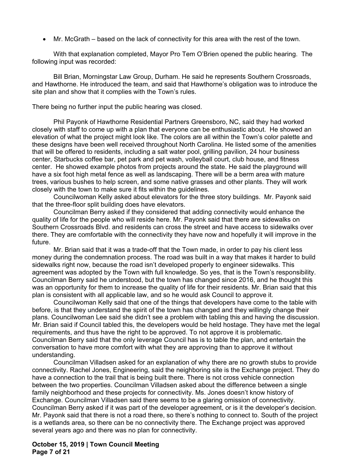Mr. McGrath – based on the lack of connectivity for this area with the rest of the town.

With that explanation completed, Mayor Pro Tem O'Brien opened the public hearing. The following input was recorded:

Bill Brian, Morningstar Law Group, Durham. He said he represents Southern Crossroads, and Hawthorne. He introduced the team, and said that Hawthorne's obligation was to introduce the site plan and show that it complies with the Town's rules.

There being no further input the public hearing was closed.

Phil Payonk of Hawthorne Residential Partners Greensboro, NC, said they had worked closely with staff to come up with a plan that everyone can be enthusiastic about. He showed an elevation of what the project might look like. The colors are all within the Town's color palette and these designs have been well received throughout North Carolina. He listed some of the amenities that will be offered to residents, including a salt water pool, grilling pavilion, 24 hour business center, Starbucks coffee bar, pet park and pet wash, volleyball court, club house, and fitness center. He showed example photos from projects around the state. He said the playground will have a six foot high metal fence as well as landscaping. There will be a berm area with mature trees, various bushes to help screen, and some native grasses and other plants. They will work closely with the town to make sure it fits within the guidelines.

Councilwoman Kelly asked about elevators for the three story buildings. Mr. Payonk said that the three-floor split building does have elevators.

Councilman Berry asked if they considered that adding connectivity would enhance the quality of life for the people who will reside here. Mr. Payonk said that there are sidewalks on Southern Crossroads Blvd. and residents can cross the street and have access to sidewalks over there. They are comfortable with the connectivity they have now and hopefully it will improve in the future.

Mr. Brian said that it was a trade-off that the Town made, in order to pay his client less money during the condemnation process. The road was built in a way that makes it harder to build sidewalks right now, because the road isn't developed properly to engineer sidewalks. This agreement was adopted by the Town with full knowledge. So yes, that is the Town's responsibility. Councilman Berry said he understood, but the town has changed since 2016, and he thought this was an opportunity for them to increase the quality of life for their residents. Mr. Brian said that this plan is consistent with all applicable law, and so he would ask Council to approve it.

Councilwoman Kelly said that one of the things that developers have come to the table with before, is that they understand the spirit of the town has changed and they willingly change their plans. Councilwoman Lee said she didn't see a problem with tabling this and having the discussion. Mr. Brian said if Council tabled this, the developers would be held hostage. They have met the legal requirements, and thus have the right to be approved. To not approve it is problematic. Councilman Berry said that the only leverage Council has is to table the plan, and entertain the conversation to have more comfort with what they are approving than to approve it without understanding.

Councilman Villadsen asked for an explanation of why there are no growth stubs to provide connectivity. Rachel Jones, Engineering, said the neighboring site is the Exchange project. They do have a connection to the trail that is being built there. There is not cross vehicle connection between the two properties. Councilman Villadsen asked about the difference between a single family neighborhood and these projects for connectivity. Ms. Jones doesn't know history of Exchange. Councilman Villadsen said there seems to be a glaring omission of connectivity. Councilman Berry asked if it was part of the developer agreement, or is it the developer's decision. Mr. Payonk said that there is not a road there, so there's nothing to connect to. South of the project is a wetlands area, so there can be no connectivity there. The Exchange project was approved several years ago and there was no plan for connectivity.

**October 15, 2019 | Town Council Meeting Page 7 of 21**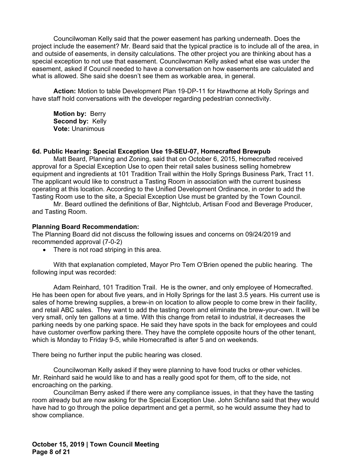Councilwoman Kelly said that the power easement has parking underneath. Does the project include the easement? Mr. Beard said that the typical practice is to include all of the area, in and outside of easements, in density calculations. The other project you are thinking about has a special exception to not use that easement. Councilwoman Kelly asked what else was under the easement, asked if Council needed to have a conversation on how easements are calculated and what is allowed. She said she doesn't see them as workable area, in general.

**Action:** Motion to table Development Plan 19-DP-11 for Hawthorne at Holly Springs and have staff hold conversations with the developer regarding pedestrian connectivity.

 **Motion by:** Berry **Second by:** Kelly **Vote:** Unanimous

#### **6d. Public Hearing: Special Exception Use 19-SEU-07, Homecrafted Brewpub**

Matt Beard, Planning and Zoning, said that on October 6, 2015, Homecrafted received approval for a Special Exception Use to open their retail sales business selling homebrew equipment and ingredients at 101 Tradition Trail within the Holly Springs Business Park, Tract 11. The applicant would like to construct a Tasting Room in association with the current business operating at this location. According to the Unified Development Ordinance, in order to add the Tasting Room use to the site, a Special Exception Use must be granted by the Town Council.

 Mr. Beard outlined the definitions of Bar, Nightclub, Artisan Food and Beverage Producer, and Tasting Room.

#### **Planning Board Recommendation:**

The Planning Board did not discuss the following issues and concerns on 09/24/2019 and recommended approval (7-0-2)

There is not road striping in this area.

With that explanation completed, Mayor Pro Tem O'Brien opened the public hearing. The following input was recorded:

Adam Reinhard, 101 Tradition Trail. He is the owner, and only employee of Homecrafted. He has been open for about five years, and in Holly Springs for the last 3.5 years. His current use is sales of home brewing supplies, a brew-in on location to allow people to come brew in their facility, and retail ABC sales. They want to add the tasting room and eliminate the brew-your-own. It will be very small, only ten gallons at a time. With this change from retail to industrial, it decreases the parking needs by one parking space. He said they have spots in the back for employees and could have customer overflow parking there. They have the complete opposite hours of the other tenant, which is Monday to Friday 9-5, while Homecrafted is after 5 and on weekends.

There being no further input the public hearing was closed.

Councilwoman Kelly asked if they were planning to have food trucks or other vehicles. Mr. Reinhard said he would like to and has a really good spot for them, off to the side, not encroaching on the parking.

Councilman Berry asked if there were any compliance issues, in that they have the tasting room already but are now asking for the Special Exception Use. John Schifano said that they would have had to go through the police department and get a permit, so he would assume they had to show compliance.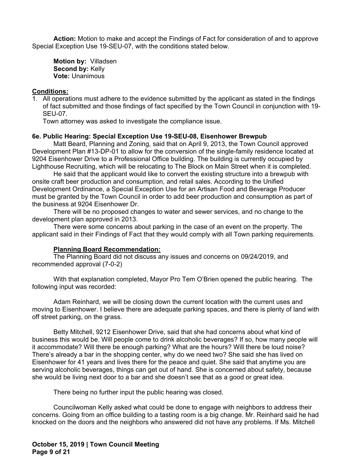**Action:** Motion to make and accept the Findings of Fact for consideration of and to approve Special Exception Use 19-SEU-07, with the conditions stated below.

 **Motion by:** Villadsen **Second by: Kelly Vote:** Unanimous

### **Conditions:**

1. All operations must adhere to the evidence submitted by the applicant as stated in the findings of fact submitted and those findings of fact specified by the Town Council in conjunction with 19- SEU-07.

Town attorney was asked to investigate the compliance issue.

### **6e. Public Hearing: Special Exception Use 19-SEU-08, Eisenhower Brewpub**

Matt Beard, Planning and Zoning, said that on April 9, 2013, the Town Council approved Development Plan #13-DP-01 to allow for the conversion of the single-family residence located at 9204 Eisenhower Drive to a Professional Office building. The building is currently occupied by Lighthouse Recruiting, which will be relocating to The Block on Main Street when it is completed.

He said that the applicant would like to convert the existing structure into a brewpub with onsite craft beer production and consumption, and retail sales. According to the Unified Development Ordinance, a Special Exception Use for an Artisan Food and Beverage Producer must be granted by the Town Council in order to add beer production and consumption as part of the business at 9204 Eisenhower Dr.

There will be no proposed changes to water and sewer services, and no change to the development plan approved in 2013.

There were some concerns about parking in the case of an event on the property. The applicant said in their Findings of Fact that they would comply with all Town parking requirements.

#### **Planning Board Recommendation:**

The Planning Board did not discuss any issues and concerns on 09/24/2019, and recommended approval (7-0-2)

With that explanation completed, Mayor Pro Tem O'Brien opened the public hearing. The following input was recorded:

Adam Reinhard, we will be closing down the current location with the current uses and moving to Eisenhower. I believe there are adequate parking spaces, and there is plenty of land with off street parking, on the grass.

Betty Mitchell, 9212 Eisenhower Drive, said that she had concerns about what kind of business this would be. Will people come to drink alcoholic beverages? If so, how many people will it accommodate? Will there be enough parking? What are the hours? Will there be loud noise? There's already a bar in the shopping center, why do we need two? She said she has lived on Eisenhower for 41 years and lives there for the peace and quiet. She said that anytime you are serving alcoholic beverages, things can get out of hand. She is concerned about safety, because she would be living next door to a bar and she doesn't see that as a good or great idea.

There being no further input the public hearing was closed.

Councilwoman Kelly asked what could be done to engage with neighbors to address their concerns. Going from an office building to a tasting room is a big change. Mr. Reinhard said he had knocked on the doors and the neighbors who answered did not have any problems. If Ms. Mitchell

**October 15, 2019 | Town Council Meeting Page 9 of 21**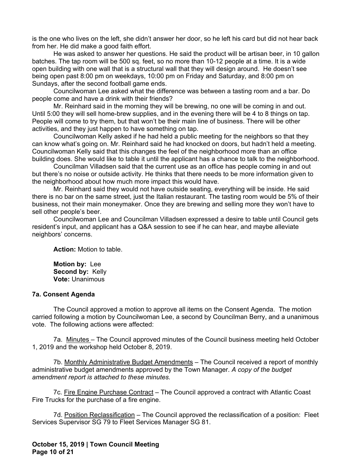is the one who lives on the left, she didn't answer her door, so he left his card but did not hear back from her. He did make a good faith effort.

He was asked to answer her questions. He said the product will be artisan beer, in 10 gallon batches. The tap room will be 500 sq. feet, so no more than 10-12 people at a time. It is a wide open building with one wall that is a structural wall that they will design around. He doesn't see being open past 8:00 pm on weekdays, 10:00 pm on Friday and Saturday, and 8:00 pm on Sundays, after the second football game ends.

Councilwoman Lee asked what the difference was between a tasting room and a bar. Do people come and have a drink with their friends?

 Mr. Reinhard said in the morning they will be brewing, no one will be coming in and out. Until 5:00 they will sell home-brew supplies, and in the evening there will be 4 to 8 things on tap. People will come to try them, but that won't be their main line of business. There will be other activities, and they just happen to have something on tap.

Councilwoman Kelly asked if he had held a public meeting for the neighbors so that they can know what's going on. Mr. Reinhard said he had knocked on doors, but hadn't held a meeting. Councilwoman Kelly said that this changes the feel of the neighborhood more than an office building does. She would like to table it until the applicant has a chance to talk to the neighborhood.

Councilman Villadsen said that the current use as an office has people coming in and out but there's no noise or outside activity. He thinks that there needs to be more information given to the neighborhood about how much more impact this would have.

Mr. Reinhard said they would not have outside seating, everything will be inside. He said there is no bar on the same street, just the Italian restaurant. The tasting room would be 5% of their business, not their main moneymaker. Once they are brewing and selling more they won't have to sell other people's beer.

Councilwoman Lee and Councilman Villadsen expressed a desire to table until Council gets resident's input, and applicant has a Q&A session to see if he can hear, and maybe alleviate neighbors' concerns.

**Action:** Motion to table.

 **Motion by:** Lee Second by: Kelly **Vote:** Unanimous

### **7a. Consent Agenda**

The Council approved a motion to approve all items on the Consent Agenda. The motion carried following a motion by Councilwoman Lee, a second by Councilman Berry, and a unanimous vote. The following actions were affected:

7a. Minutes – The Council approved minutes of the Council business meeting held October 1, 2019 and the workshop held October 8, 2019.

7b. Monthly Administrative Budget Amendments – The Council received a report of monthly administrative budget amendments approved by the Town Manager. *A copy of the budget amendment report is attached to these minutes.* 

7c. Fire Engine Purchase Contract - The Council approved a contract with Atlantic Coast Fire Trucks for the purchase of a fire engine.

7d. Position Reclassification - The Council approved the reclassification of a position: Fleet Services Supervisor SG 79 to Fleet Services Manager SG 81.

**October 15, 2019 | Town Council Meeting Page 10 of 21**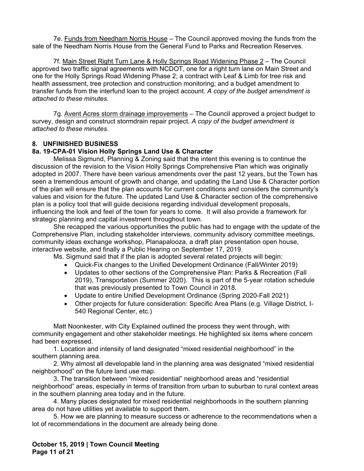7e. Funds from Needham Norris House - The Council approved moving the funds from the sale of the Needham Norris House from the General Fund to Parks and Recreation Reserves.

7f. Main Street Right Turn Lane & Holly Springs Road Widening Phase 2 – The Council approved two traffic signal agreements with NCDOT, one for a right turn lane on Main Street and one for the Holly Springs Road Widening Phase 2; a contract with Leaf & Limb for tree risk and health assessment, tree protection and construction monitoring; and a budget amendment to transfer funds from the interfund loan to the project account. *A copy of the budget amendment is attached to these minutes.* 

7g. Avent Acres storm drainage improvements – The Council approved a project budget to survey, design and construct stormdrain repair project. *A copy of the budget amendment is attached to these minutes.* 

## **8. UNFINISHED BUSINESS**

### **8a. 19-CPA-01 Vision Holly Springs Land Use & Character**

Melissa Sigmund, Planning & Zoning said that the intent this evening is to continue the discussion of the revision to the Vision Holly Springs Comprehensive Plan which was originally adopted in 2007. There have been various amendments over the past 12 years, but the Town has seen a tremendous amount of growth and change, and updating the Land Use & Character portion of the plan will ensure that the plan accounts for current conditions and considers the community's values and vision for the future. The updated Land Use & Character section of the comprehensive plan is a policy tool that will guide decisions regarding individual development proposals, influencing the look and feel of the town for years to come. It will also provide a framework for strategic planning and capital investment throughout town.

 She recapped the various opportunities the public has had to engage with the update of the Comprehensive Plan, including stakeholder interviews, community advisory committee meetings, community ideas exchange workshop, Planapalooza, a draft plan presentation open house, interactive website, and finally a Public Hearing on September 17, 2019.

Ms. Sigmund said that if the plan is adopted several related projects will begin:

- Quick-Fix changes to the Unified Development Ordinance (Fall/Winter 2019)
- Updates to other sections of the Comprehensive Plan: Parks & Recreation (Fall 2019), Transportation (Summer 2020). This is part of the 5-year rotation schedule that was previously presented to Town Council in 2018.
- Update to entire Unified Development Ordinance (Spring 2020-Fall 2021)
- Other projects for future consideration: Specific Area Plans (e.g. Village District, I-540 Regional Center, etc.)

Matt Noonkester, with City Explained outlined the process they went through, with community engagement and other stakeholder meetings. He highlighted six items where concern had been expressed.

 1. Location and intensity of land designated "mixed residential neighborhood" in the southern planning area.

 2. Why almost all developable land in the planning area was designated "mixed residential neighborhood" on the future land use map.

 3. The transition between "mixed residential" neighborhood areas and "residential neighborhood" areas, especially in terms of transition from urban to suburban to rural context areas in the southern planning area today and in the future.

 4. Many places designated for mixed residential neighborhoods in the southern planning area do not have utilities yet available to support them.

 5. How we are planning to measure success or adherence to the recommendations when a lot of recommendations in the document are already being done.

**October 15, 2019 | Town Council Meeting Page 11 of 21**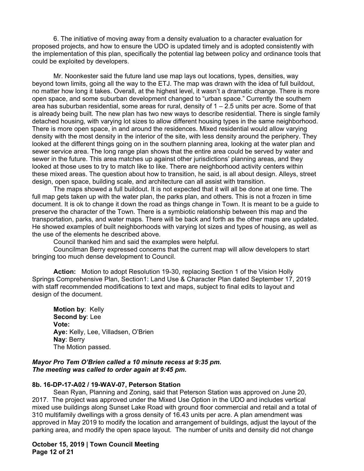6. The initiative of moving away from a density evaluation to a character evaluation for proposed projects, and how to ensure the UDO is updated timely and is adopted consistently with the implementation of this plan, specifically the potential lag between policy and ordinance tools that could be exploited by developers.

Mr. Noonkester said the future land use map lays out locations, types, densities, way beyond town limits, going all the way to the ETJ. The map was drawn with the idea of full buildout, no matter how long it takes. Overall, at the highest level, it wasn't a dramatic change. There is more open space, and some suburban development changed to "urban space." Currently the southern area has suburban residential, some areas for rural, density of  $1 - 2.5$  units per acre. Some of that is already being built. The new plan has two new ways to describe residential. There is single family detached housing, with varying lot sizes to allow different housing types in the same neighborhood. There is more open space, in and around the residences. Mixed residential would allow varying density with the most density in the interior of the site, with less density around the periphery. They looked at the different things going on in the southern planning area, looking at the water plan and sewer service area. The long range plan shows that the entire area could be served by water and sewer in the future. This area matches up against other jurisdictions' planning areas, and they looked at those uses to try to match like to like. There are neighborhood activity centers within these mixed areas. The question about how to transition, he said, is all about design. Alleys, street design, open space, building scale, and architecture can all assist with transition.

 The maps showed a full buildout. It is not expected that it will all be done at one time. The full map gets taken up with the water plan, the parks plan, and others. This is not a frozen in time document. It is ok to change it down the road as things change in Town. It is meant to be a guide to preserve the character of the Town. There is a symbiotic relationship between this map and the transportation, parks, and water maps. There will be back and forth as the other maps are updated. He showed examples of built neighborhoods with varying lot sizes and types of housing, as well as the use of the elements he described above.

Council thanked him and said the examples were helpful.

Councilman Berry expressed concerns that the current map will allow developers to start bringing too much dense development to Council.

**Action:** Motion to adopt Resolution 19-30, replacing Section 1 of the Vision Holly Springs Comprehensive Plan, Section1: Land Use & Character Plan dated September 17, 2019 with staff recommended modifications to text and maps, subject to final edits to layout and design of the document.

 **Motion by**: Kelly  **Second by**: Lee  **Vote: Aye:** Kelly, Lee, Villadsen, O'Brien **Nay**: Berry The Motion passed.

#### *Mayor Pro Tem O'Brien called a 10 minute recess at 9:35 pm. The meeting was called to order again at 9:45 pm.*

#### **8b. 16-DP-17-A02 / 19-WAV-07, Peterson Station**

Sean Ryan, Planning and Zoning, said that Peterson Station was approved on June 20, 2017. The project was approved under the Mixed Use Option in the UDO and includes vertical mixed use buildings along Sunset Lake Road with ground floor commercial and retail and a total of 310 multifamily dwellings with a gross density of 16.43 units per acre. A plan amendment was approved in May 2019 to modify the location and arrangement of buildings, adjust the layout of the parking area, and modify the open space layout. The number of units and density did not change

**October 15, 2019 | Town Council Meeting Page 12 of 21**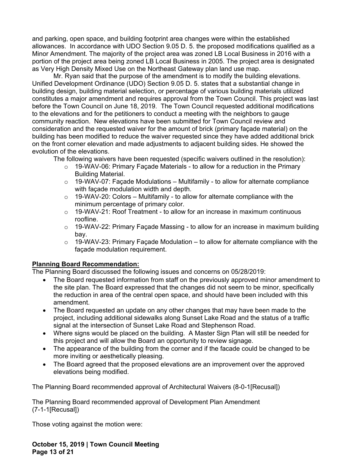and parking, open space, and building footprint area changes were within the established allowances. In accordance with UDO Section 9.05 D. 5. the proposed modifications qualified as a Minor Amendment. The majority of the project area was zoned LB Local Business in 2016 with a portion of the project area being zoned LB Local Business in 2005. The project area is designated as Very High Density Mixed Use on the Northeast Gateway plan land use map.

Mr. Ryan said that the purpose of the amendment is to modify the building elevations. Unified Development Ordinance (UDO) Section 9.05 D. 5. states that a substantial change in building design, building material selection, or percentage of various building materials utilized constitutes a major amendment and requires approval from the Town Council. This project was last before the Town Council on June 18, 2019. The Town Council requested additional modifications to the elevations and for the petitioners to conduct a meeting with the neighbors to gauge community reaction. New elevations have been submitted for Town Council review and consideration and the requested waiver for the amount of brick (primary façade material) on the building has been modified to reduce the waiver requested since they have added additional brick on the front corner elevation and made adjustments to adjacent building sides. He showed the evolution of the elevations.

The following waivers have been requested (specific waivers outlined in the resolution):

- $\circ$  19-WAV-06: Primary Facade Materials to allow for a reduction in the Primary Building Material.
- $\circ$  19-WAV-07: Façade Modulations Multifamily to allow for alternate compliance with façade modulation width and depth.
- $\circ$  19-WAV-20: Colors Multifamily to allow for alternate compliance with the minimum percentage of primary color.
- $\circ$  19-WAV-21: Roof Treatment to allow for an increase in maximum continuous roofline.
- $\circ$  19-WAV-22: Primary Facade Massing to allow for an increase in maximum building bay.
- $\circ$  19-WAV-23: Primary Façade Modulation to allow for alternate compliance with the facade modulation requirement.

## **Planning Board Recommendation:**

The Planning Board discussed the following issues and concerns on 05/28/2019:

- The Board requested information from staff on the previously approved minor amendment to the site plan. The Board expressed that the changes did not seem to be minor, specifically the reduction in area of the central open space, and should have been included with this amendment.
- The Board requested an update on any other changes that may have been made to the project, including additional sidewalks along Sunset Lake Road and the status of a traffic signal at the intersection of Sunset Lake Road and Stephenson Road.
- Where signs would be placed on the building. A Master Sign Plan will still be needed for this project and will allow the Board an opportunity to review signage.
- The appearance of the building from the corner and if the facade could be changed to be more inviting or aesthetically pleasing.
- The Board agreed that the proposed elevations are an improvement over the approved elevations being modified.

The Planning Board recommended approval of Architectural Waivers (8-0-1[Recusal])

The Planning Board recommended approval of Development Plan Amendment (7-1-1[Recusal])

Those voting against the motion were:

**October 15, 2019 | Town Council Meeting Page 13 of 21**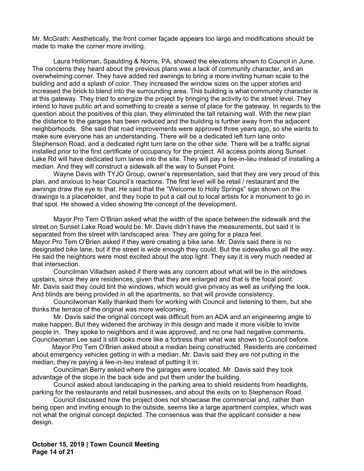Mr. McGrath: Aesthetically, the front corner façade appears too large and modifications should be made to make the corner more inviting.

Laura Holloman, Spaulding & Norris, PA, showed the elevations shown to Council in June. The concerns they heard about the previous plans was a lack of community character, and an overwhelming corner. They have added red awnings to bring a more inviting human scale to the building and add a splash of color. They increased the window sizes on the upper stories and increased the brick to blend into the surrounding area. This building is what community character is at this gateway. They tried to energize the project by bringing the activity to the street level. They intend to have public art and something to create a sense of place for the gateway. In regards to the question about the positives of this plan, they eliminated the tall retaining wall. With the new plan the distance to the garages has been reduced and the building is further away from the adjacent neighborhoods. She said that road improvements were approved three years ago, so she wants to make sure everyone has an understanding. There will be a dedicated left turn lane onto Stephenson Road, and a dedicated right turn lane on the other side. There will be a traffic signal installed prior to the first certificate of occupancy for the project. All access points along Sunset Lake Rd will have dedicated turn lanes into the site. They will pay a fee-in-lieu instead of installing a median. And they will construct a sidewalk all the way to Sunset Point.

Wayne Davis with TYJO Group, owner's representation, said that they are very proud of this plan, and anxious to hear Council's reactions. The first level will be retail / restaurant and the awnings draw the eye to that. He said that the "Welcome to Holly Springs" sign shown on the drawings is a placeholder, and they hope to put a call out to local artists for a monument to go in that spot. He showed a video showing the concept of the development.

Mayor Pro Tem O'Brian asked what the width of the space between the sidewalk and the street on Sunset Lake Road would be. Mr. Davis didn't have the measurements, but said it is separated from the street with landscaped area. They are going for a plaza feel. Mayor Pro Tem O'Brien asked if they were creating a bike lane. Mr. Davis said there is no designated bike lane, but if the street is wide enough they could. But the sidewalks go all the way. He said the neighbors were most excited about the stop light. They say it is very much needed at that intersection.

Councilman Villadsen asked if there was any concern about what will be in the windows upstairs, since they are residences, given that they are enlarged and that is the focal point. Mr. Davis said they could tint the windows, which would give privacy as well as unifying the look. And blinds are being provided in all the apartments, so that will provide consistency.

Councilwoman Kelly thanked them for working with Council and listening to them, but she thinks the terrace of the original was more welcoming.

Mr. Davis said the original concept was difficult from an ADA and an engineering angle to make happen. But they widened the archway in this design and made it more visible to invite people in. They spoke to neighbors and it was approved, and no one had negative comments. Councilwoman Lee said it still looks more like a fortress than what was shown to Council before.

 Mayor Pro Tem O'Brien asked about a median being constructed. Residents are concerned about emergency vehicles getting in with a median. Mr. Davis said they are not putting in the median, they're paying a fee-in-lieu instead of putting it in.

Councilman Berry asked where the garages were located. Mr. Davis said they took advantage of the slope in the back side and put them under the building.

Council asked about landscaping in the parking area to shield residents from headlights, parking for the restaurants and retail businesses, and about the exits on to Stephenson Road.

 Council discussed how the project does not showcase the commercial and, rather than being open and inviting enough to the outside, seems like a large apartment complex, which was not what the original concept depicted. The consensus was that the applicant consider a new design.

**October 15, 2019 | Town Council Meeting Page 14 of 21**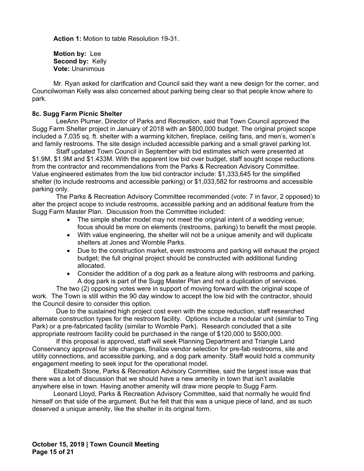**Action 1:** Motion to table Resolution 19-31.

 **Motion by:** Lee Second by: Kelly **Vote:** Unanimous

Mr. Ryan asked for clarification and Council said they want a new design for the corner, and Councilwoman Kelly was also concerned about parking being clear so that people know where to park.

### **8c. Sugg Farm Picnic Shelter**

LeeAnn Plumer, Director of Parks and Recreation, said that Town Council approved the Sugg Farm Shelter project in January of 2018 with an \$800,000 budget. The original project scope included a 7,035 sq. ft. shelter with a warming kitchen, fireplace, ceiling fans, and men's, women's and family restrooms. The site design included accessible parking and a small gravel parking lot.

Staff updated Town Council in September with bid estimates which were presented at \$1.9M, \$1.9M and \$1.433M. With the apparent low bid over budget, staff sought scope reductions from the contractor and recommendations from the Parks & Recreation Advisory Committee. Value engineered estimates from the low bid contractor include: \$1,333,645 for the simplified shelter (to include restrooms and accessible parking) or \$1,033,582 for restrooms and accessible parking only.

The Parks & Recreation Advisory Committee recommended (vote: 7 in favor, 2 opposed) to alter the project scope to include restrooms, accessible parking and an additional feature from the Sugg Farm Master Plan. Discussion from the Committee included:

- The simple shelter model may not meet the original intent of a wedding venue; focus should be more on elements (restrooms, parking) to benefit the most people.
- With value engineering, the shelter will not be a unique amenity and will duplicate shelters at Jones and Womble Parks.
- Due to the construction market, even restrooms and parking will exhaust the project budget; the full original project should be constructed with additional funding allocated.
- Consider the addition of a dog park as a feature along with restrooms and parking. A dog park is part of the Sugg Master Plan and not a duplication of services.

The two (2) opposing votes were in support of moving forward with the original scope of work. The Town is still within the 90 day window to accept the low bid with the contractor, should the Council desire to consider this option.

Due to the sustained high project cost even with the scope reduction, staff researched alternate construction types for the restroom facility. Options include a modular unit (similar to Ting Park) or a pre-fabricated facility (similar to Womble Park). Research concluded that a site appropriate restroom facility could be purchased in the range of \$120,000 to \$500,000.

If this proposal is approved, staff will seek Planning Department and Triangle Land Conservancy approval for site changes, finalize vendor selection for pre-fab restrooms, site and utility connections, and accessible parking, and a dog park amenity. Staff would hold a community engagement meeting to seek input for the operational model.

 Elizabeth Stone, Parks & Recreation Advisory Committee, said the largest issue was that there was a lot of discussion that we should have a new amenity in town that isn't available anywhere else in town. Having another amenity will draw more people to Sugg Farm.

 Leonard Lloyd, Parks & Recreation Advisory Committee, said that normally he would find himself on that side of the argument. But he felt that this was a unique piece of land, and as such deserved a unique amenity, like the shelter in its original form.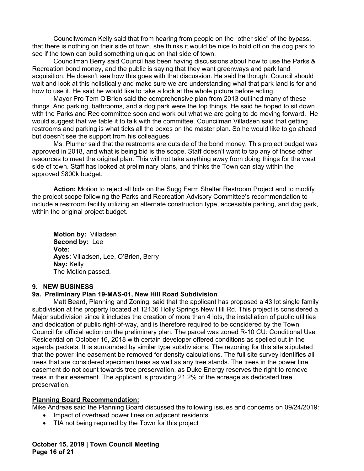Councilwoman Kelly said that from hearing from people on the "other side" of the bypass, that there is nothing on their side of town, she thinks it would be nice to hold off on the dog park to see if the town can build something unique on that side of town.

Councilman Berry said Council has been having discussions about how to use the Parks & Recreation bond money, and the public is saying that they want greenways and park land acquisition. He doesn't see how this goes with that discussion. He said he thought Council should wait and look at this holistically and make sure we are understanding what that park land is for and how to use it. He said he would like to take a look at the whole picture before acting.

Mayor Pro Tem O'Brien said the comprehensive plan from 2013 outlined many of these things. And parking, bathrooms, and a dog park were the top things. He said he hoped to sit down with the Parks and Rec committee soon and work out what we are going to do moving forward. He would suggest that we table it to talk with the committee. Councilman Villadsen said that getting restrooms and parking is what ticks all the boxes on the master plan. So he would like to go ahead but doesn't see the support from his colleagues.

Ms. Plumer said that the restrooms are outside of the bond money. This project budget was approved in 2018, and what is being bid is the scope. Staff doesn't want to tap any of those other resources to meet the original plan. This will not take anything away from doing things for the west side of town. Staff has looked at preliminary plans, and thinks the Town can stay within the approved \$800k budget.

**Action:** Motion to reject all bids on the Sugg Farm Shelter Restroom Project and to modify the project scope following the Parks and Recreation Advisory Committee's recommendation to include a restroom facility utilizing an alternate construction type, accessible parking, and dog park, within the original project budget.

 **Motion by:** Villadsen **Second by:** Lee **Vote: Ayes:** Villadsen, Lee, O'Brien, Berry **Nay:** Kelly The Motion passed.

#### **9. NEW BUSINESS**

## **9a. Preliminary Plan 19-MAS-01, New Hill Road Subdivision**

 Matt Beard, Planning and Zoning, said that the applicant has proposed a 43 lot single family subdivision at the property located at 12136 Holly Springs New Hill Rd. This project is considered a Major subdivision since it includes the creation of more than 4 lots, the installation of public utilities and dedication of public right-of-way, and is therefore required to be considered by the Town Council for official action on the preliminary plan. The parcel was zoned R-10 CU: Conditional Use Residential on October 16, 2018 with certain developer offered conditions as spelled out in the agenda packets. It is surrounded by similar type subdivisions. The rezoning for this site stipulated that the power line easement be removed for density calculations. The full site survey identifies all trees that are considered specimen trees as well as any tree stands. The trees in the power line easement do not count towards tree preservation, as Duke Energy reserves the right to remove trees in their easement. The applicant is providing 21.2% of the acreage as dedicated tree preservation.

## **Planning Board Recommendation:**

Mike Andreas said the Planning Board discussed the following issues and concerns on 09/24/2019:

- Impact of overhead power lines on adjacent residents
- TIA not being required by the Town for this project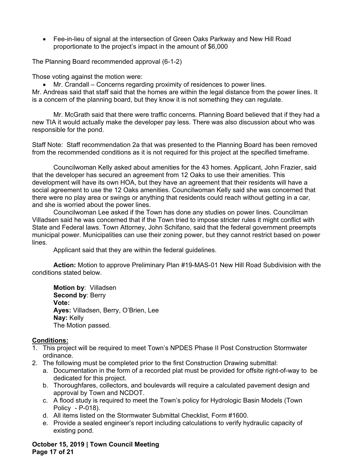Fee-in-lieu of signal at the intersection of Green Oaks Parkway and New Hill Road proportionate to the project's impact in the amount of \$6,000

The Planning Board recommended approval (6-1-2)

Those voting against the motion were:

Mr. Crandall – Concerns regarding proximity of residences to power lines.

Mr. Andreas said that staff said that the homes are within the legal distance from the power lines. It is a concern of the planning board, but they know it is not something they can regulate.

Mr. McGrath said that there were traffic concerns. Planning Board believed that if they had a new TIA it would actually make the developer pay less. There was also discussion about who was responsible for the pond.

Staff Note: Staff recommendation 2a that was presented to the Planning Board has been removed from the recommended conditions as it is not required for this project at the specified timeframe.

Councilwoman Kelly asked about amenities for the 43 homes. Applicant, John Frazier, said that the developer has secured an agreement from 12 Oaks to use their amenities. This development will have its own HOA, but they have an agreement that their residents will have a social agreement to use the 12 Oaks amenities. Councilwoman Kelly said she was concerned that there were no play area or swings or anything that residents could reach without getting in a car, and she is worried about the power lines.

Councilwoman Lee asked if the Town has done any studies on power lines. Councilman Villadsen said he was concerned that if the Town tried to impose stricter rules it might conflict with State and Federal laws. Town Attorney, John Schifano, said that the federal government preempts municipal power. Municipalities can use their zoning power, but they cannot restrict based on power lines.

Applicant said that they are within the federal guidelines.

**Action:** Motion to approve Preliminary Plan #19-MAS-01 New Hill Road Subdivision with the conditions stated below.

 **Motion by**: Villadsen  **Second by**: Berry  **Vote: Ayes:** Villadsen, Berry, O'Brien, Lee **Nay:** Kelly The Motion passed.

## **Conditions:**

- 1. This project will be required to meet Town's NPDES Phase II Post Construction Stormwater ordinance.
- 2. The following must be completed prior to the first Construction Drawing submittal:
	- a. Documentation in the form of a recorded plat must be provided for offsite right-of-way to be dedicated for this project.
	- b. Thoroughfares, collectors, and boulevards will require a calculated pavement design and approval by Town and NCDOT.
	- c. A flood study is required to meet the Town's policy for Hydrologic Basin Models (Town Policy - P-018).
	- d. All items listed on the Stormwater Submittal Checklist, Form #1600.
	- e. Provide a sealed engineer's report including calculations to verify hydraulic capacity of existing pond.

**October 15, 2019 | Town Council Meeting Page 17 of 21**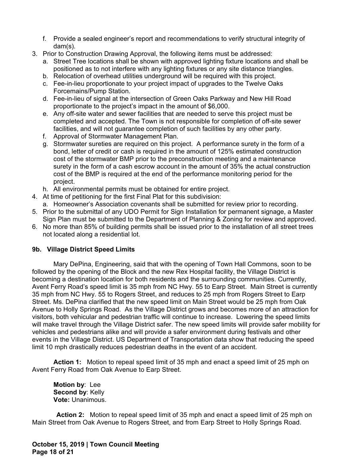- f. Provide a sealed engineer's report and recommendations to verify structural integrity of dam(s).
- 3. Prior to Construction Drawing Approval, the following items must be addressed:
	- a. Street Tree locations shall be shown with approved lighting fixture locations and shall be positioned as to not interfere with any lighting fixtures or any site distance triangles.
	- b. Relocation of overhead utilities underground will be required with this project.
	- c. Fee-in-lieu proportionate to your project impact of upgrades to the Twelve Oaks Forcemains/Pump Station.
	- d. Fee-in-lieu of signal at the intersection of Green Oaks Parkway and New Hill Road proportionate to the project's impact in the amount of \$6,000.
	- e. Any off-site water and sewer facilities that are needed to serve this project must be completed and accepted. The Town is not responsible for completion of off-site sewer facilities, and will not guarantee completion of such facilities by any other party.
	- f. Approval of Stormwater Management Plan.
	- g. Stormwater sureties are required on this project. A performance surety in the form of a bond, letter of credit or cash is required in the amount of 125% estimated construction cost of the stormwater BMP prior to the preconstruction meeting and a maintenance surety in the form of a cash escrow account in the amount of 35% the actual construction cost of the BMP is required at the end of the performance monitoring period for the project.
	- h. All environmental permits must be obtained for entire project.
- 4. At time of petitioning for the first Final Plat for this subdivision:
- a. Homeowner's Association covenants shall be submitted for review prior to recording.
- 5. Prior to the submittal of any UDO Permit for Sign Installation for permanent signage, a Master Sign Plan must be submitted to the Department of Planning & Zoning for review and approved.
- 6. No more than 85% of building permits shall be issued prior to the installation of all street trees not located along a residential lot.

# **9b. Village District Speed Limits**

 Mary DePina, Engineering, said that with the opening of Town Hall Commons, soon to be followed by the opening of the Block and the new Rex Hospital facility, the Village District is becoming a destination location for both residents and the surrounding communities. Currently, Avent Ferry Road's speed limit is 35 mph from NC Hwy. 55 to Earp Street. Main Street is currently 35 mph from NC Hwy. 55 to Rogers Street, and reduces to 25 mph from Rogers Street to Earp Street. Ms. DePina clarified that the new speed limit on Main Street would be 25 mph from Oak Avenue to Holly Springs Road. As the Village District grows and becomes more of an attraction for visitors, both vehicular and pedestrian traffic will continue to increase. Lowering the speed limits will make travel through the Village District safer. The new speed limits will provide safer mobility for vehicles and pedestrians alike and will provide a safer environment during festivals and other events in the Village District. US Department of Transportation data show that reducing the speed limit 10 mph drastically reduces pedestrian deaths in the event of an accident.

**Action 1:** Motion to repeal speed limit of 35 mph and enact a speed limit of 25 mph on Avent Ferry Road from Oak Avenue to Earp Street.

 **Motion by**: Lee  **Second by**: Kelly  **Vote:** Unanimous.

**Action 2:** Motion to repeal speed limit of 35 mph and enact a speed limit of 25 mph on Main Street from Oak Avenue to Rogers Street, and from Earp Street to Holly Springs Road.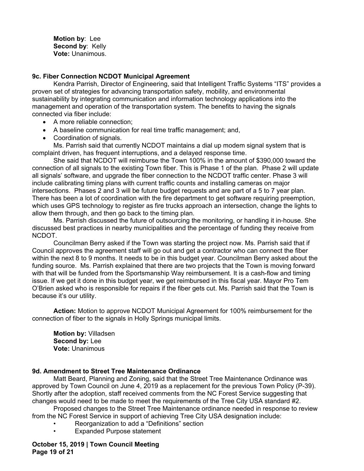**Motion by**: Lee  **Second by**: Kelly  **Vote:** Unanimous.

### **9c. Fiber Connection NCDOT Municipal Agreement**

Kendra Parrish, Director of Engineering, said that Intelligent Traffic Systems "ITS" provides a proven set of strategies for advancing transportation safety, mobility, and environmental sustainability by integrating communication and information technology applications into the management and operation of the transportation system. The benefits to having the signals connected via fiber include:

- A more reliable connection;
- A baseline communication for real time traffic management; and,
- Coordination of signals.

Ms. Parrish said that currently NCDOT maintains a dial up modem signal system that is complaint driven, has frequent interruptions, and a delayed response time.

She said that NCDOT will reimburse the Town 100% in the amount of \$390,000 toward the connection of all signals to the existing Town fiber. This is Phase 1 of the plan. Phase 2 will update all signals' software, and upgrade the fiber connection to the NCDOT traffic center. Phase 3 will include calibrating timing plans with current traffic counts and installing cameras on major intersections. Phases 2 and 3 will be future budget requests and are part of a 5 to 7 year plan. There has been a lot of coordination with the fire department to get software requiring preemption, which uses GPS technology to register as fire trucks approach an intersection, change the lights to allow them through, and then go back to the timing plan.

Ms. Parrish discussed the future of outsourcing the monitoring, or handling it in-house. She discussed best practices in nearby municipalities and the percentage of funding they receive from NCDOT.

Councilman Berry asked if the Town was starting the project now. Ms. Parrish said that if Council approves the agreement staff will go out and get a contractor who can connect the fiber within the next 8 to 9 months. It needs to be in this budget year. Councilman Berry asked about the funding source. Ms. Parrish explained that there are two projects that the Town is moving forward with that will be funded from the Sportsmanship Way reimbursement. It is a cash-flow and timing issue. If we get it done in this budget year, we get reimbursed in this fiscal year. Mayor Pro Tem O'Brien asked who is responsible for repairs if the fiber gets cut. Ms. Parrish said that the Town is because it's our utility.

**Action:** Motion to approve NCDOT Municipal Agreement for 100% reimbursement for the connection of fiber to the signals in Holly Springs municipal limits.

 **Motion by:** Villadsen **Second by:** Lee **Vote:** Unanimous

#### **9d. Amendment to Street Tree Maintenance Ordinance**

Matt Beard, Planning and Zoning, said that the Street Tree Maintenance Ordinance was approved by Town Council on June 4, 2019 as a replacement for the previous Town Policy (P-39). Shortly after the adoption, staff received comments from the NC Forest Service suggesting that changes would need to be made to meet the requirements of the Tree City USA standard #2.

 Proposed changes to the Street Tree Maintenance ordinance needed in response to review from the NC Forest Service in support of achieving Tree City USA designation include:

- Reorganization to add a "Definitions" section
- Expanded Purpose statement

**October 15, 2019 | Town Council Meeting Page 19 of 21**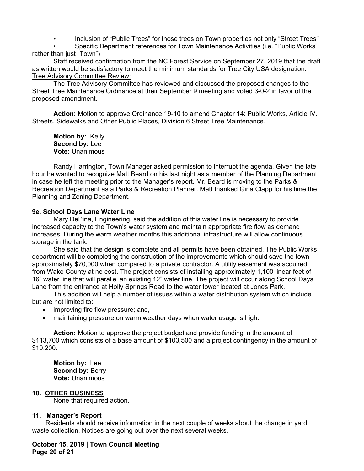• Inclusion of "Public Trees" for those trees on Town properties not only "Street Trees"

• Specific Department references for Town Maintenance Activities (i.e. "Public Works" rather than just "Town")

 Staff received confirmation from the NC Forest Service on September 27, 2019 that the draft as written would be satisfactory to meet the minimum standards for Tree City USA designation. Tree Advisory Committee Review:

 The Tree Advisory Committee has reviewed and discussed the proposed changes to the Street Tree Maintenance Ordinance at their September 9 meeting and voted 3-0-2 in favor of the proposed amendment.

**Action:** Motion to approve Ordinance 19-10 to amend Chapter 14: Public Works, Article IV. Streets, Sidewalks and Other Public Places, Division 6 Street Tree Maintenance.

 **Motion by:** Kelly **Second by:** Lee **Vote:** Unanimous

Randy Harrington, Town Manager asked permission to interrupt the agenda. Given the late hour he wanted to recognize Matt Beard on his last night as a member of the Planning Department in case he left the meeting prior to the Manager's report. Mr. Beard is moving to the Parks & Recreation Department as a Parks & Recreation Planner. Matt thanked Gina Clapp for his time the Planning and Zoning Department.

## **9e. School Days Lane Water Line**

 Mary DePina, Engineering, said the addition of this water line is necessary to provide increased capacity to the Town's water system and maintain appropriate fire flow as demand increases. During the warm weather months this additional infrastructure will allow continuous storage in the tank.

 She said that the design is complete and all permits have been obtained. The Public Works department will be completing the construction of the improvements which should save the town approximately \$70,000 when compared to a private contractor. A utility easement was acquired from Wake County at no cost. The project consists of installing approximately 1,100 linear feet of 16" water line that will parallel an existing 12" water line. The project will occur along School Days Lane from the entrance at Holly Springs Road to the water tower located at Jones Park.

 This addition will help a number of issues within a water distribution system which include but are not limited to:

- improving fire flow pressure; and,
- maintaining pressure on warm weather days when water usage is high.

**Action:** Motion to approve the project budget and provide funding in the amount of \$113,700 which consists of a base amount of \$103,500 and a project contingency in the amount of \$10,200.

 **Motion by:** Lee **Second by:** Berry **Vote:** Unanimous

## **10. OTHER BUSINESS**

None that required action.

## **11. Manager's Report**

Residents should receive information in the next couple of weeks about the change in yard waste collection. Notices are going out over the next several weeks.

**October 15, 2019 | Town Council Meeting Page 20 of 21**